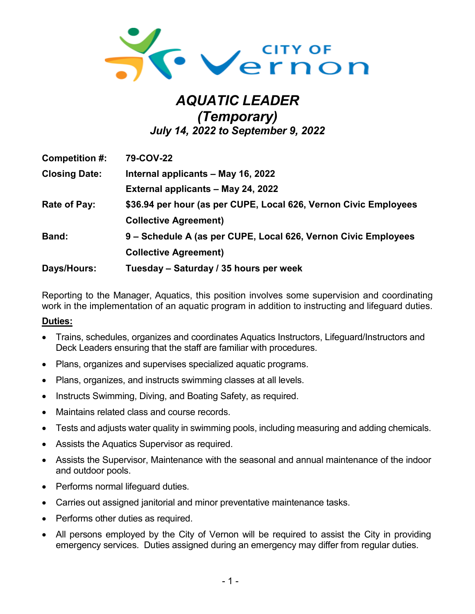

# *AQUATIC LEADER (Temporary) July 14, 2022 to September 9, 2022*

| Competition #:       | 79-COV-22                                                        |
|----------------------|------------------------------------------------------------------|
| <b>Closing Date:</b> | Internal applicants - May 16, 2022                               |
|                      | External applicants - May 24, 2022                               |
| Rate of Pay:         | \$36.94 per hour (as per CUPE, Local 626, Vernon Civic Employees |
|                      | <b>Collective Agreement)</b>                                     |
| <b>Band:</b>         | 9 - Schedule A (as per CUPE, Local 626, Vernon Civic Employees   |
|                      | <b>Collective Agreement)</b>                                     |
| Days/Hours:          | Tuesday - Saturday / 35 hours per week                           |

Reporting to the Manager, Aquatics, this position involves some supervision and coordinating work in the implementation of an aquatic program in addition to instructing and lifeguard duties.

#### **Duties:**

- Trains, schedules, organizes and coordinates Aquatics Instructors, Lifeguard/Instructors and Deck Leaders ensuring that the staff are familiar with procedures.
- Plans, organizes and supervises specialized aquatic programs.
- Plans, organizes, and instructs swimming classes at all levels.
- Instructs Swimming, Diving, and Boating Safety, as required.
- Maintains related class and course records.
- Tests and adjusts water quality in swimming pools, including measuring and adding chemicals.
- Assists the Aquatics Supervisor as required.
- Assists the Supervisor, Maintenance with the seasonal and annual maintenance of the indoor and outdoor pools.
- Performs normal lifeguard duties.
- Carries out assigned janitorial and minor preventative maintenance tasks.
- Performs other duties as required.
- All persons employed by the City of Vernon will be required to assist the City in providing emergency services. Duties assigned during an emergency may differ from regular duties.